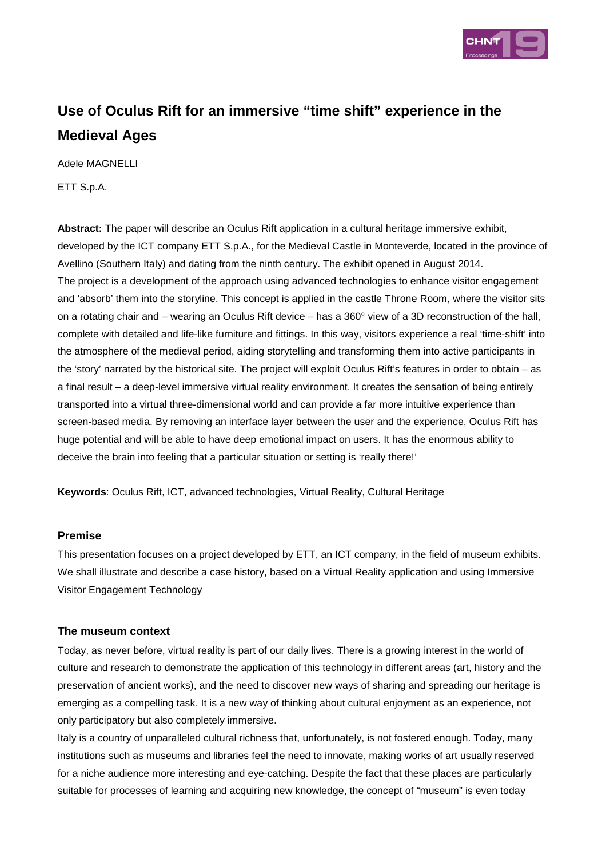

# **Use of Oculus Rift for an immersive "time shift" experience in the Medieval Ages**

Adele MAGNELLI

ETT S.p.A.

**Abstract:** The paper will describe an Oculus Rift application in a cultural heritage immersive exhibit, developed by the ICT company ETT S.p.A., for the Medieval Castle in Monteverde, located in the province of Avellino (Southern Italy) and dating from the ninth century. The exhibit opened in August 2014. The project is a development of the approach using advanced technologies to enhance visitor engagement and 'absorb' them into the storyline. This concept is applied in the castle Throne Room, where the visitor sits on a rotating chair and – wearing an Oculus Rift device – has a 360° view of a 3D reconstruction of the hall, complete with detailed and life-like furniture and fittings. In this way, visitors experience a real 'time-shift' into the atmosphere of the medieval period, aiding storytelling and transforming them into active participants in the 'story' narrated by the historical site. The project will exploit Oculus Rift's features in order to obtain – as a final result – a deep-level immersive virtual reality environment. It creates the sensation of being entirely transported into a virtual three-dimensional world and can provide a far more intuitive experience than screen-based media. By removing an interface layer between the user and the experience, Oculus Rift has huge potential and will be able to have deep emotional impact on users. It has the enormous ability to deceive the brain into feeling that a particular situation or setting is 'really there!'

**Keywords**: Oculus Rift, ICT, advanced technologies, Virtual Reality, Cultural Heritage

### **Premise**

This presentation focuses on a project developed by ETT, an ICT company, in the field of museum exhibits. We shall illustrate and describe a case history, based on a Virtual Reality application and using Immersive Visitor Engagement Technology

### **The museum context**

Today, as never before, virtual reality is part of our daily lives. There is a growing interest in the world of culture and research to demonstrate the application of this technology in different areas (art, history and the preservation of ancient works), and the need to discover new ways of sharing and spreading our heritage is emerging as a compelling task. It is a new way of thinking about cultural enjoyment as an experience, not only participatory but also completely immersive.

Italy is a country of unparalleled cultural richness that, unfortunately, is not fostered enough. Today, many institutions such as museums and libraries feel the need to innovate, making works of art usually reserved for a niche audience more interesting and eye-catching. Despite the fact that these places are particularly suitable for processes of learning and acquiring new knowledge, the concept of "museum" is even today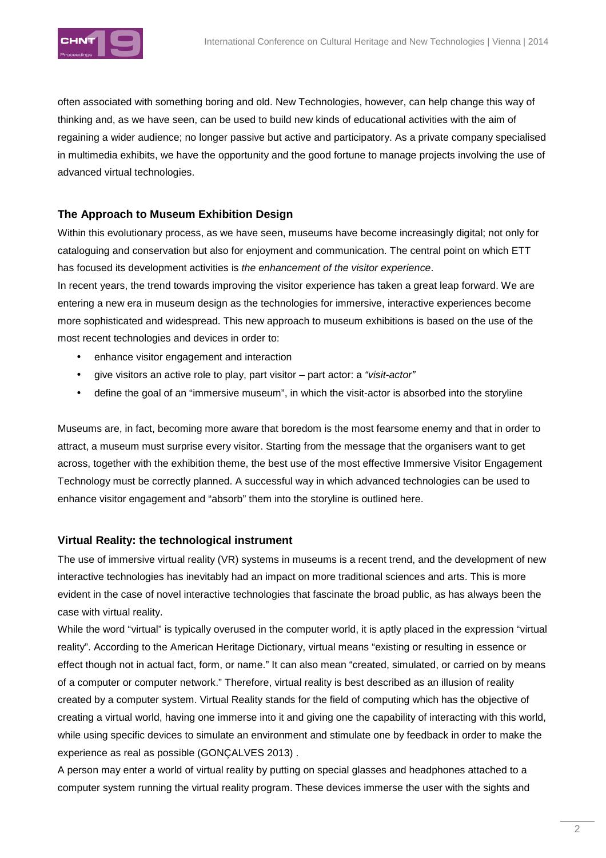

often associated with something boring and old. New Technologies, however, can help change this way of thinking and, as we have seen, can be used to build new kinds of educational activities with the aim of regaining a wider audience; no longer passive but active and participatory. As a private company specialised in multimedia exhibits, we have the opportunity and the good fortune to manage projects involving the use of advanced virtual technologies.

#### **The Approach to Museum Exhibition Design**

Within this evolutionary process, as we have seen, museums have become increasingly digital; not only for cataloguing and conservation but also for enjoyment and communication. The central point on which ETT has focused its development activities is the enhancement of the visitor experience.

In recent years, the trend towards improving the visitor experience has taken a great leap forward. We are entering a new era in museum design as the technologies for immersive, interactive experiences become more sophisticated and widespread. This new approach to museum exhibitions is based on the use of the most recent technologies and devices in order to:

- enhance visitor engagement and interaction
- give visitors an active role to play, part visitor part actor: a "visit-actor"
- define the goal of an "immersive museum", in which the visit-actor is absorbed into the storyline

Museums are, in fact, becoming more aware that boredom is the most fearsome enemy and that in order to attract, a museum must surprise every visitor. Starting from the message that the organisers want to get across, together with the exhibition theme, the best use of the most effective Immersive Visitor Engagement Technology must be correctly planned. A successful way in which advanced technologies can be used to enhance visitor engagement and "absorb" them into the storyline is outlined here.

#### **Virtual Reality: the technological instrument**

The use of immersive virtual reality (VR) systems in museums is a recent trend, and the development of new interactive technologies has inevitably had an impact on more traditional sciences and arts. This is more evident in the case of novel interactive technologies that fascinate the broad public, as has always been the case with virtual reality.

While the word "virtual" is typically overused in the computer world, it is aptly placed in the expression "virtual reality". According to the American Heritage Dictionary, virtual means "existing or resulting in essence or effect though not in actual fact, form, or name." It can also mean "created, simulated, or carried on by means of a computer or computer network." Therefore, virtual reality is best described as an illusion of reality created by a computer system. Virtual Reality stands for the field of computing which has the objective of creating a virtual world, having one immerse into it and giving one the capability of interacting with this world, while using specific devices to simulate an environment and stimulate one by feedback in order to make the experience as real as possible (GONÇALVES 2013) .

A person may enter a world of virtual reality by putting on special glasses and headphones attached to a computer system running the virtual reality program. These devices immerse the user with the sights and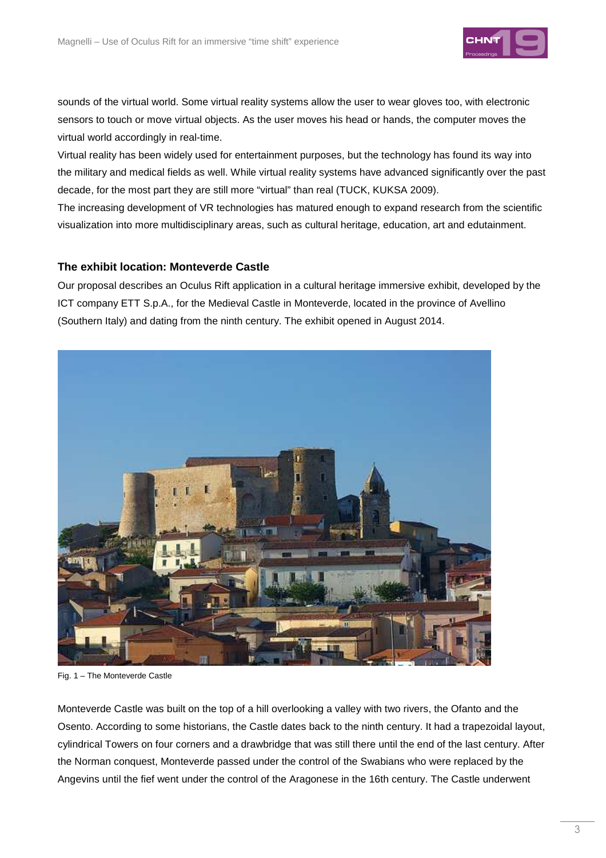

sounds of the virtual world. Some virtual reality systems allow the user to wear gloves too, with electronic sensors to touch or move virtual objects. As the user moves his head or hands, the computer moves the virtual world accordingly in real-time.

Virtual reality has been widely used for entertainment purposes, but the technology has found its way into the military and medical fields as well. While virtual reality systems have advanced significantly over the past decade, for the most part they are still more "virtual" than real (TUCK, KUKSA 2009).

The increasing development of VR technologies has matured enough to expand research from the scientific visualization into more multidisciplinary areas, such as cultural heritage, education, art and edutainment.

#### **The exhibit location: Monteverde Castle**

Our proposal describes an Oculus Rift application in a cultural heritage immersive exhibit, developed by the ICT company ETT S.p.A., for the Medieval Castle in Monteverde, located in the province of Avellino (Southern Italy) and dating from the ninth century. The exhibit opened in August 2014.



Fig. 1 – The Monteverde Castle

Monteverde Castle was built on the top of a hill overlooking a valley with two rivers, the Ofanto and the Osento. According to some historians, the Castle dates back to the ninth century. It had a trapezoidal layout, cylindrical Towers on four corners and a drawbridge that was still there until the end of the last century. After the Norman conquest, Monteverde passed under the control of the Swabians who were replaced by the Angevins until the fief went under the control of the Aragonese in the 16th century. The Castle underwent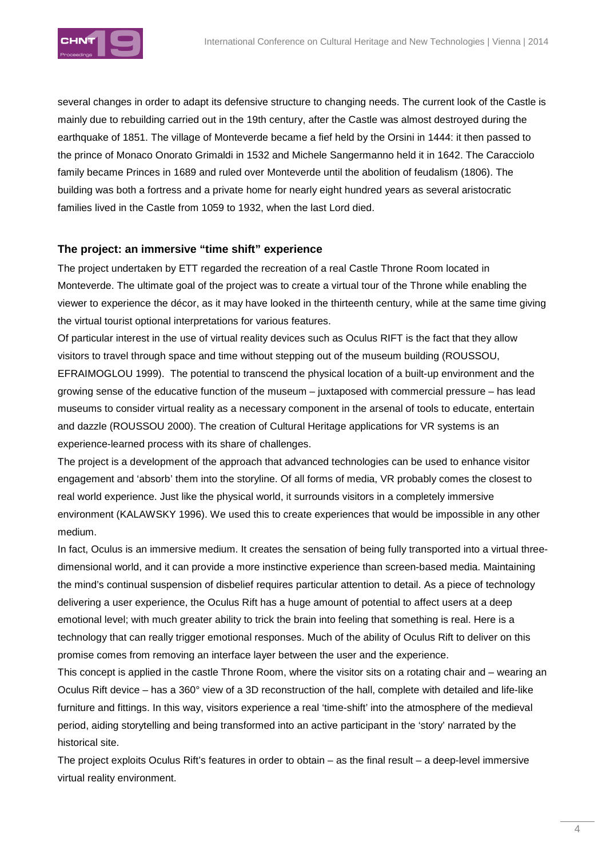

several changes in order to adapt its defensive structure to changing needs. The current look of the Castle is mainly due to rebuilding carried out in the 19th century, after the Castle was almost destroyed during the earthquake of 1851. The village of Monteverde became a fief held by the Orsini in 1444: it then passed to the prince of Monaco Onorato Grimaldi in 1532 and Michele Sangermanno held it in 1642. The Caracciolo family became Princes in 1689 and ruled over Monteverde until the abolition of feudalism (1806). The building was both a fortress and a private home for nearly eight hundred years as several aristocratic families lived in the Castle from 1059 to 1932, when the last Lord died.

#### **The project: an immersive "time shift" experience**

The project undertaken by ETT regarded the recreation of a real Castle Throne Room located in Monteverde. The ultimate goal of the project was to create a virtual tour of the Throne while enabling the viewer to experience the décor, as it may have looked in the thirteenth century, while at the same time giving the virtual tourist optional interpretations for various features.

Of particular interest in the use of virtual reality devices such as Oculus RIFT is the fact that they allow visitors to travel through space and time without stepping out of the museum building (ROUSSOU, EFRAIMOGLOU 1999). The potential to transcend the physical location of a built-up environment and the growing sense of the educative function of the museum – juxtaposed with commercial pressure – has lead museums to consider virtual reality as a necessary component in the arsenal of tools to educate, entertain and dazzle (ROUSSOU 2000). The creation of Cultural Heritage applications for VR systems is an experience-learned process with its share of challenges.

The project is a development of the approach that advanced technologies can be used to enhance visitor engagement and 'absorb' them into the storyline. Of all forms of media, VR probably comes the closest to real world experience. Just like the physical world, it surrounds visitors in a completely immersive environment (KALAWSKY 1996). We used this to create experiences that would be impossible in any other medium.

In fact, Oculus is an immersive medium. It creates the sensation of being fully transported into a virtual threedimensional world, and it can provide a more instinctive experience than screen-based media. Maintaining the mind's continual suspension of disbelief requires particular attention to detail. As a piece of technology delivering a user experience, the Oculus Rift has a huge amount of potential to affect users at a deep emotional level; with much greater ability to trick the brain into feeling that something is real. Here is a technology that can really trigger emotional responses. Much of the ability of Oculus Rift to deliver on this promise comes from removing an interface layer between the user and the experience.

This concept is applied in the castle Throne Room, where the visitor sits on a rotating chair and – wearing an Oculus Rift device – has a 360° view of a 3D reconstruction of the hall, complete with detailed and life-like furniture and fittings. In this way, visitors experience a real 'time-shift' into the atmosphere of the medieval period, aiding storytelling and being transformed into an active participant in the 'story' narrated by the historical site.

The project exploits Oculus Rift's features in order to obtain – as the final result – a deep-level immersive virtual reality environment.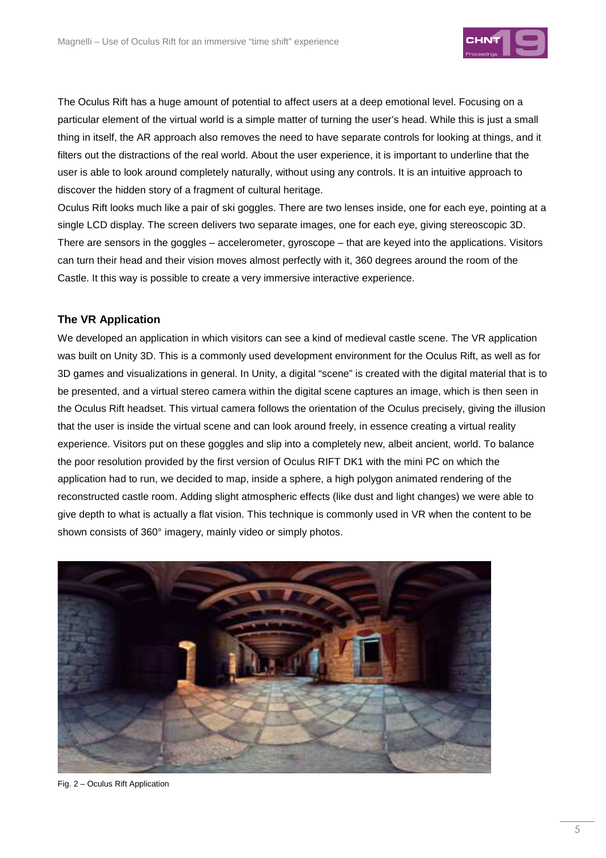

The Oculus Rift has a huge amount of potential to affect users at a deep emotional level. Focusing on a particular element of the virtual world is a simple matter of turning the user's head. While this is just a small thing in itself, the AR approach also removes the need to have separate controls for looking at things, and it filters out the distractions of the real world. About the user experience, it is important to underline that the user is able to look around completely naturally, without using any controls. It is an intuitive approach to discover the hidden story of a fragment of cultural heritage.

Oculus Rift looks much like a pair of ski goggles. There are two lenses inside, one for each eye, pointing at a single LCD display. The screen delivers two separate images, one for each eye, giving stereoscopic 3D. There are sensors in the goggles – accelerometer, gyroscope – that are keyed into the applications. Visitors can turn their head and their vision moves almost perfectly with it, 360 degrees around the room of the Castle. It this way is possible to create a very immersive interactive experience.

#### **The VR Application**

We developed an application in which visitors can see a kind of medieval castle scene. The VR application was built on Unity 3D. This is a commonly used development environment for the Oculus Rift, as well as for 3D games and visualizations in general. In Unity, a digital "scene" is created with the digital material that is to be presented, and a virtual stereo camera within the digital scene captures an image, which is then seen in the Oculus Rift headset. This virtual camera follows the orientation of the Oculus precisely, giving the illusion that the user is inside the virtual scene and can look around freely, in essence creating a virtual reality experience. Visitors put on these goggles and slip into a completely new, albeit ancient, world. To balance the poor resolution provided by the first version of Oculus RIFT DK1 with the mini PC on which the application had to run, we decided to map, inside a sphere, a high polygon animated rendering of the reconstructed castle room. Adding slight atmospheric effects (like dust and light changes) we were able to give depth to what is actually a flat vision. This technique is commonly used in VR when the content to be shown consists of 360° imagery, mainly video or simply photos.



Fig. 2 – Oculus Rift Application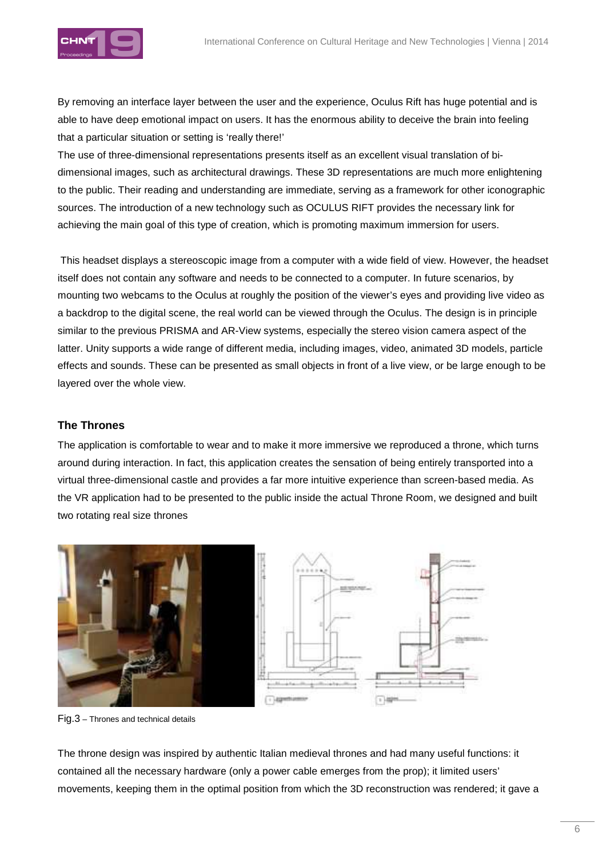

By removing an interface layer between the user and the experience, Oculus Rift has huge potential and is able to have deep emotional impact on users. It has the enormous ability to deceive the brain into feeling that a particular situation or setting is 'really there!'

The use of three-dimensional representations presents itself as an excellent visual translation of bidimensional images, such as architectural drawings. These 3D representations are much more enlightening to the public. Their reading and understanding are immediate, serving as a framework for other iconographic sources. The introduction of a new technology such as OCULUS RIFT provides the necessary link for achieving the main goal of this type of creation, which is promoting maximum immersion for users.

 This headset displays a stereoscopic image from a computer with a wide field of view. However, the headset itself does not contain any software and needs to be connected to a computer. In future scenarios, by mounting two webcams to the Oculus at roughly the position of the viewer's eyes and providing live video as a backdrop to the digital scene, the real world can be viewed through the Oculus. The design is in principle similar to the previous PRISMA and AR-View systems, especially the stereo vision camera aspect of the latter. Unity supports a wide range of different media, including images, video, animated 3D models, particle effects and sounds. These can be presented as small objects in front of a live view, or be large enough to be layered over the whole view.

#### **The Thrones**

The application is comfortable to wear and to make it more immersive we reproduced a throne, which turns around during interaction. In fact, this application creates the sensation of being entirely transported into a virtual three-dimensional castle and provides a far more intuitive experience than screen-based media. As the VR application had to be presented to the public inside the actual Throne Room, we designed and built two rotating real size thrones



Fig.3 – Thrones and technical details

The throne design was inspired by authentic Italian medieval thrones and had many useful functions: it contained all the necessary hardware (only a power cable emerges from the prop); it limited users' movements, keeping them in the optimal position from which the 3D reconstruction was rendered; it gave a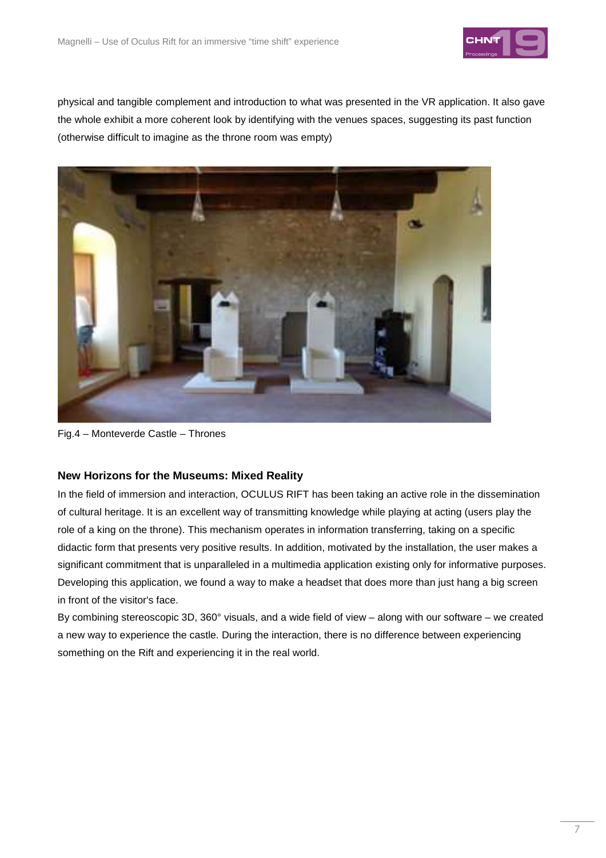

physical and tangible complement and introduction to what was presented in the VR application. It also gave the whole exhibit a more coherent look by identifying with the venues spaces, suggesting its past function (otherwise difficult to imagine as the throne room was empty)



Fig.4 – Monteverde Castle – Thrones

#### **New Horizons for the Museums: Mixed Reality**

In the field of immersion and interaction, OCULUS RIFT has been taking an active role in the dissemination of cultural heritage. It is an excellent way of transmitting knowledge while playing at acting (users play the role of a king on the throne). This mechanism operates in information transferring, taking on a specific didactic form that presents very positive results. In addition, motivated by the installation, the user makes a significant commitment that is unparalleled in a multimedia application existing only for informative purposes. Developing this application, we found a way to make a headset that does more than just hang a big screen in front of the visitor's face.

By combining stereoscopic 3D, 360° visuals, and a wide field of view – along with our software – we created a new way to experience the castle. During the interaction, there is no difference between experiencing something on the Rift and experiencing it in the real world.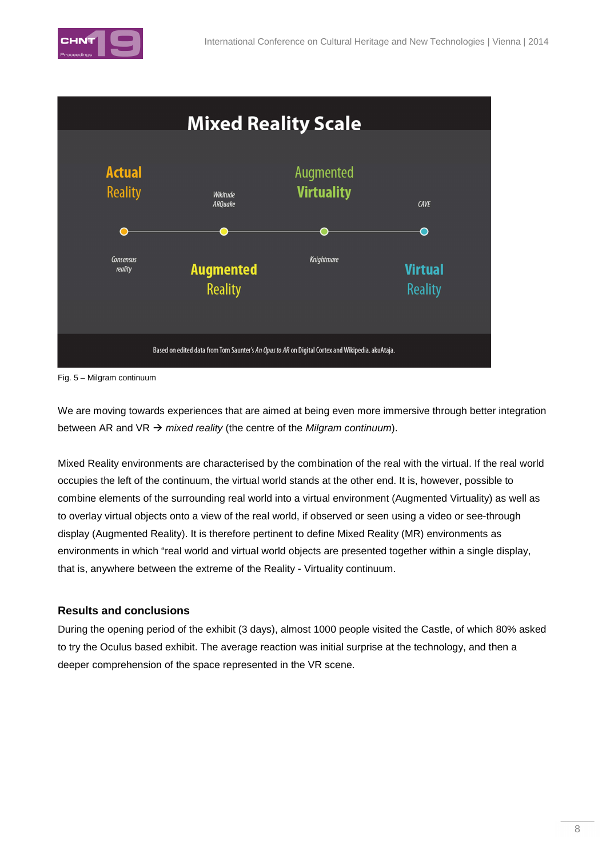



Fig. 5 – Milgram continuum

We are moving towards experiences that are aimed at being even more immersive through better integration between AR and VR  $\rightarrow$  mixed reality (the centre of the Milgram continuum).

Mixed Reality environments are characterised by the combination of the real with the virtual. If the real world occupies the left of the continuum, the virtual world stands at the other end. It is, however, possible to combine elements of the surrounding real world into a virtual environment (Augmented Virtuality) as well as to overlay virtual objects onto a view of the real world, if observed or seen using a video or see-through display (Augmented Reality). It is therefore pertinent to define Mixed Reality (MR) environments as environments in which "real world and virtual world objects are presented together within a single display, that is, anywhere between the extreme of the Reality - Virtuality continuum.

## **Results and conclusions**

During the opening period of the exhibit (3 days), almost 1000 people visited the Castle, of which 80% asked to try the Oculus based exhibit. The average reaction was initial surprise at the technology, and then a deeper comprehension of the space represented in the VR scene.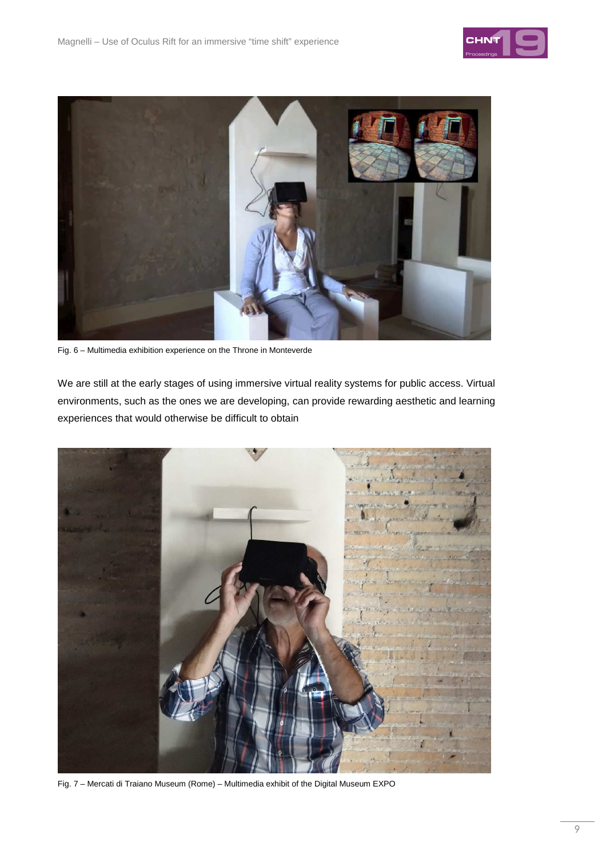



Fig. 6 – Multimedia exhibition experience on the Throne in Monteverde

We are still at the early stages of using immersive virtual reality systems for public access. Virtual environments, such as the ones we are developing, can provide rewarding aesthetic and learning experiences that would otherwise be difficult to obtain



Fig. 7 – Mercati di Traiano Museum (Rome) – Multimedia exhibit of the Digital Museum EXPO